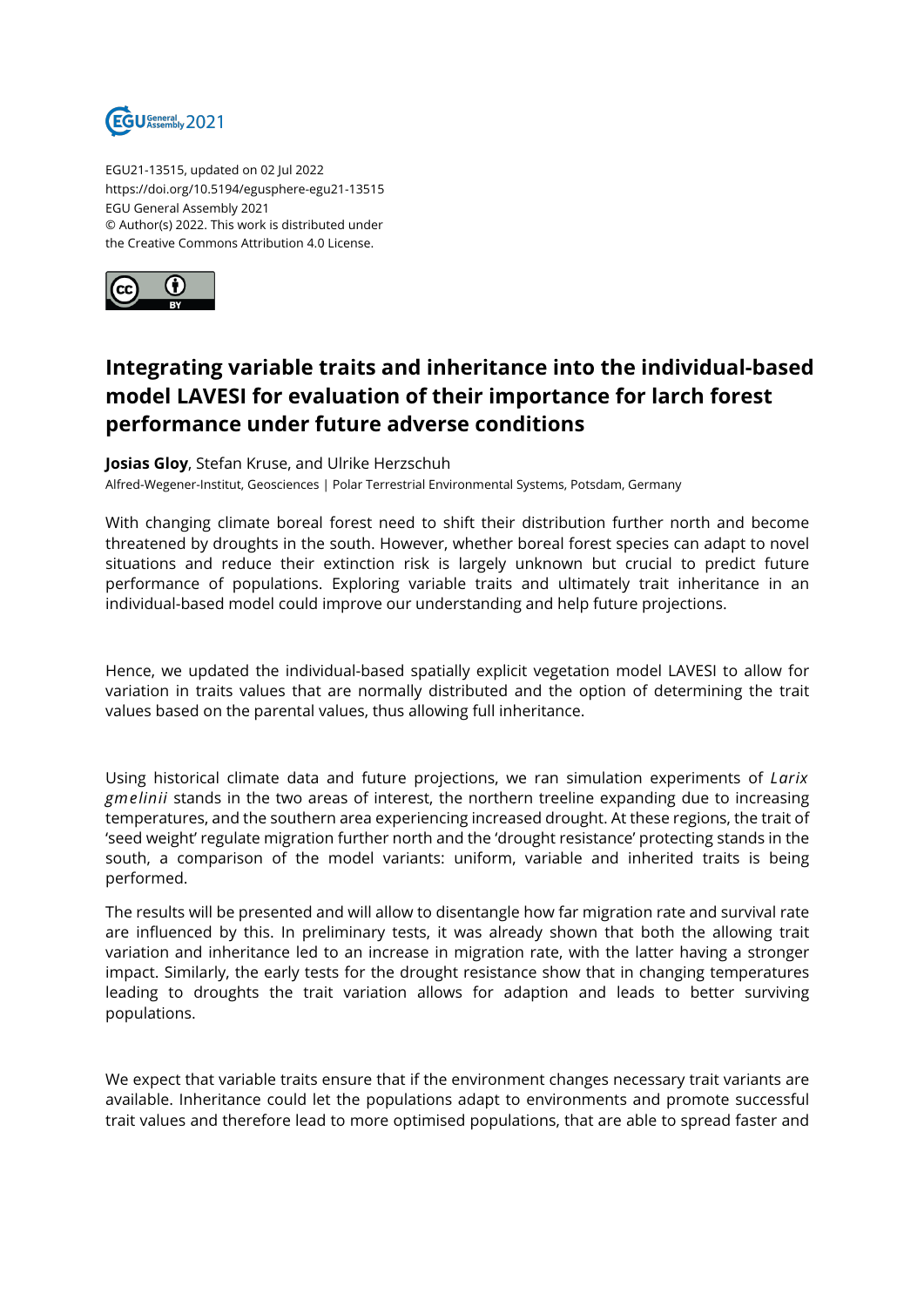

EGU21-13515, updated on 02 Jul 2022 https://doi.org/10.5194/egusphere-egu21-13515 EGU General Assembly 2021 © Author(s) 2022. This work is distributed under the Creative Commons Attribution 4.0 License.



## **Integrating variable traits and inheritance into the individual-based model LAVESI for evaluation of their importance for larch forest performance under future adverse conditions**

**Josias Gloy**, Stefan Kruse, and Ulrike Herzschuh Alfred-Wegener-Institut, Geosciences | Polar Terrestrial Environmental Systems, Potsdam, Germany

With changing climate boreal forest need to shift their distribution further north and become threatened by droughts in the south. However, whether boreal forest species can adapt to novel situations and reduce their extinction risk is largely unknown but crucial to predict future performance of populations. Exploring variable traits and ultimately trait inheritance in an individual-based model could improve our understanding and help future projections.

Hence, we updated the individual-based spatially explicit vegetation model LAVESI to allow for variation in traits values that are normally distributed and the option of determining the trait values based on the parental values, thus allowing full inheritance.

Using historical climate data and future projections, we ran simulation experiments of *Larix gmelinii* stands in the two areas of interest, the northern treeline expanding due to increasing temperatures, and the southern area experiencing increased drought. At these regions, the trait of 'seed weight' regulate migration further north and the 'drought resistance' protecting stands in the south, a comparison of the model variants: uniform, variable and inherited traits is being performed.

The results will be presented and will allow to disentangle how far migration rate and survival rate are influenced by this. In preliminary tests, it was already shown that both the allowing trait variation and inheritance led to an increase in migration rate, with the latter having a stronger impact. Similarly, the early tests for the drought resistance show that in changing temperatures leading to droughts the trait variation allows for adaption and leads to better surviving populations.

We expect that variable traits ensure that if the environment changes necessary trait variants are available. Inheritance could let the populations adapt to environments and promote successful trait values and therefore lead to more optimised populations, that are able to spread faster and